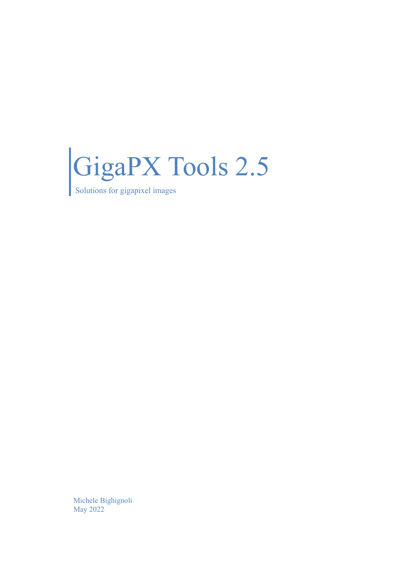

Solutions for gigapixel images

Michele Bighignoli May 2022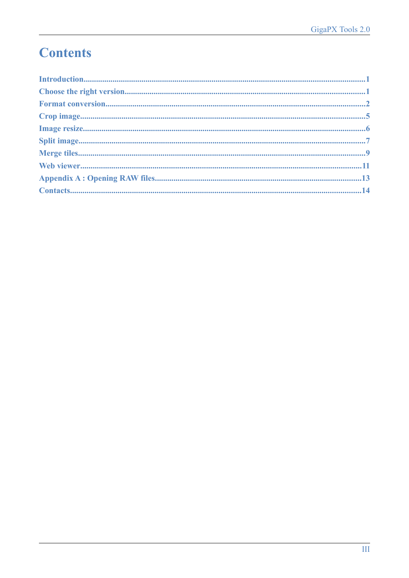# **Contents**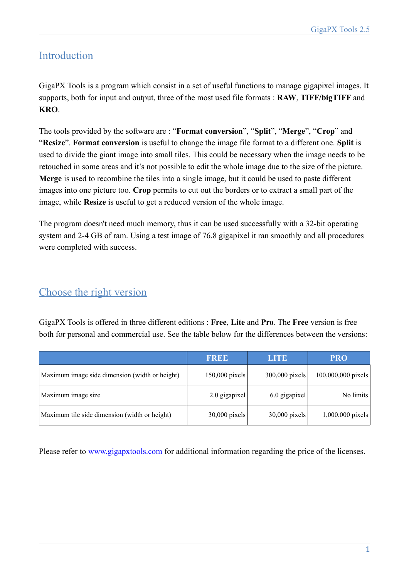# Introduction

GigaPX Tools is a program which consist in a set of useful functions to manage gigapixel images. It supports, both for input and output, three of the most used file formats : **RAW**, **TIFF/bigTIFF** and **KRO**.

The tools provided by the software are : "**Format conversion**", "**Split**", "**Merge**", "**Crop**" and "**Resize**". **Format conversion** is useful to change the image file format to a different one. **Split** is used to divide the giant image into small tiles. This could be necessary when the image needs to be retouched in some areas and it's not possible to edit the whole image due to the size of the picture. **Merge** is used to recombine the tiles into a single image, but it could be used to paste different images into one picture too. **Crop** permits to cut out the borders or to extract a small part of the image, while **Resize** is useful to get a reduced version of the whole image.

The program doesn't need much memory, thus it can be used successfully with a 32-bit operating system and 2-4 GB of ram. Using a test image of 76.8 gigapixel it ran smoothly and all procedures were completed with success.

### Choose the right version

GigaPX Tools is offered in three different editions : **Free**, **Lite** and **Pro**. The **Free** version is free both for personal and commercial use. See the table below for the differences between the versions:

|                                                | <b>FREE</b>     | <b>LITE</b>     | <b>PRO</b>         |
|------------------------------------------------|-----------------|-----------------|--------------------|
| Maximum image side dimension (width or height) | 150,000 pixels  | 300,000 pixels  | 100,000,000 pixels |
| Maximum image size                             | $2.0$ gigapixel | $6.0$ gigapixel | No limits          |
| Maximum tile side dimension (width or height)  | $30,000$ pixels | 30,000 pixels   | 1,000,000 pixels   |

Please refer to [www.gigapxtools.com](http://www.gigapxtools.com/) for additional information regarding the price of the licenses.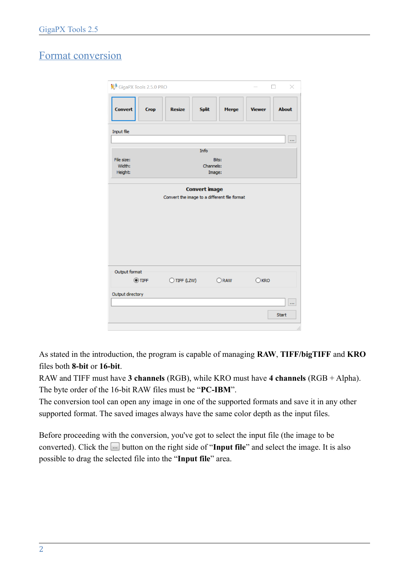# Format conversion

| <sup>2</sup> GigaPX Tools 2.5.0 PRO                                  |                               |                              |               | $\times$         |
|----------------------------------------------------------------------|-------------------------------|------------------------------|---------------|------------------|
| <b>Convert</b><br><b>Crop</b>                                        | <b>Resize</b><br><b>Split</b> | Merge                        | <b>Viewer</b> | <b>About</b>     |
| Input file                                                           |                               |                              |               | m.               |
|                                                                      | Info                          |                              |               |                  |
| File size:<br>Width:<br>Height:                                      |                               | Bits:<br>Channels:<br>Image: |               |                  |
| <b>Convert image</b><br>Convert the image to a different file format |                               |                              |               |                  |
| Output format<br>$\odot$ TIFF                                        | $\bigcirc$ TIFF (LZW)         | ORAW                         | KRO           |                  |
| Output directory                                                     |                               |                              |               |                  |
|                                                                      |                               |                              |               | <br><b>Start</b> |

As stated in the introduction, the program is capable of managing **RAW**, **TIFF/bigTIFF** and **KRO** files both **8-bit** or **16-bit**.

RAW and TIFF must have **3 channels** (RGB), while KRO must have **4 channels** (RGB + Alpha). The byte order of the 16-bit RAW files must be "**PC-IBM**".

The conversion tool can open any image in one of the supported formats and save it in any other supported format. The saved images always have the same color depth as the input files.

Before proceeding with the conversion, you've got to select the input file (the image to be converted). Click the **button on the right side of "Input file**" and select the image. It is also possible to drag the selected file into the "**Input file**" area.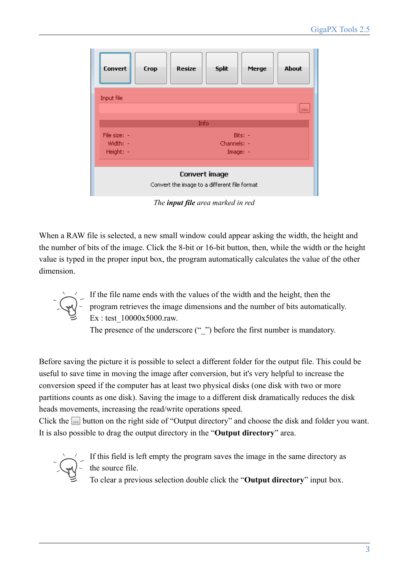| <br><b>Convert</b><br>                                                        | <b>Split</b><br>About<br>Resize<br><b>Crop</b><br>Merge |  |  |  |
|-------------------------------------------------------------------------------|---------------------------------------------------------|--|--|--|
| <b>Input file</b>                                                             | $\sim$                                                  |  |  |  |
|                                                                               | Info                                                    |  |  |  |
| File size: -<br>Bits: -<br>Channels: -<br>Width: -<br>Height: -<br>$Image: -$ |                                                         |  |  |  |
| Convert image<br>Convert the image to a different file format                 |                                                         |  |  |  |

*The input file area marked in red*

When a RAW file is selected, a new small window could appear asking the width, the height and the number of bits of the image. Click the 8-bit or 16-bit button, then, while the width or the height value is typed in the proper input box, the program automatically calculates the value of the other dimension.

> If the file name ends with the values of the width and the height, then the program retrieves the image dimensions and the number of bits automatically. Ex : test\_10000x5000.raw.

The presence of the underscore ("\_") before the first number is mandatory.

Before saving the picture it is possible to select a different folder for the output file. This could be useful to save time in moving the image after conversion, but it's very helpful to increase the conversion speed if the computer has at least two physical disks (one disk with two or more partitions counts as one disk). Saving the image to a different disk dramatically reduces the disk heads movements, increasing the read/write operations speed.

Click the  $\Box$  button on the right side of "Output directory" and choose the disk and folder you want. It is also possible to drag the output directory in the "**Output directory**" area.



If this field is left empty the program saves the image in the same directory as the source file.

To clear a previous selection double click the "**Output directory**" input box.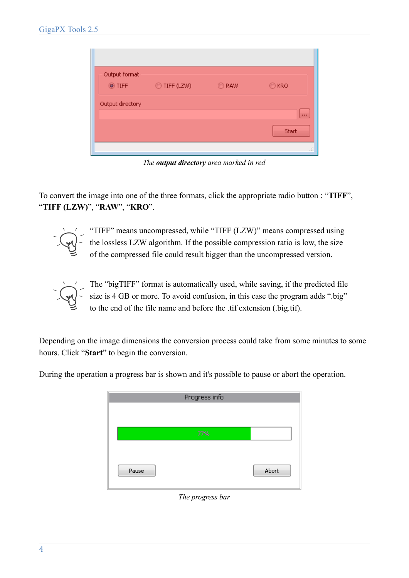| Output format<br><b>◎ TIFF</b> | ◯ TIFF (LZW) | ORAW | $\odot$ KRO  |
|--------------------------------|--------------|------|--------------|
| Output directory               |              |      | $\alpha$ and |
|                                |              |      | <b>Start</b> |
|                                |              |      |              |

*The output directory area marked in red*

To convert the image into one of the three formats, click the appropriate radio button : "**TIFF**", "**TIFF (LZW)**", "**RAW**", "**KRO**".



"TIFF" means uncompressed, while "TIFF (LZW)" means compressed using the lossless LZW algorithm. If the possible compression ratio is low, the size of the compressed file could result bigger than the uncompressed version.



The "bigTIFF" format is automatically used, while saving, if the predicted file size is 4 GB or more. To avoid confusion, in this case the program adds ".big" to the end of the file name and before the .tif extension (.big.tif).

Depending on the image dimensions the conversion process could take from some minutes to some hours. Click "**Start**" to begin the conversion.

|       | Progress info |       |
|-------|---------------|-------|
|       |               |       |
|       |               |       |
|       | 77%           |       |
|       |               |       |
|       |               |       |
| Pause |               | Abort |
|       |               |       |
|       |               |       |

During the operation a progress bar is shown and it's possible to pause or abort the operation.

#### *The progress bar*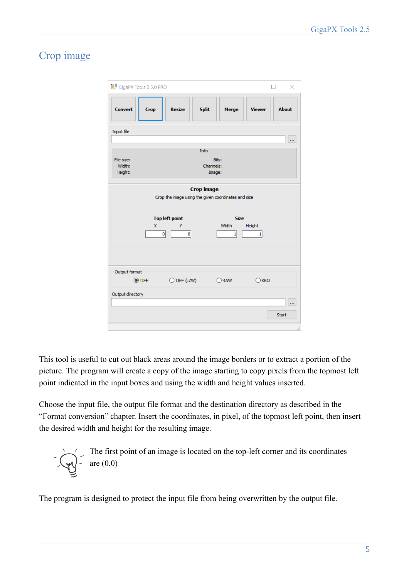# Crop image

|                               | <sup>2</sup> GigaPX Tools 2.5.0 PRO                 |                     |             |               | $\times$     |
|-------------------------------|-----------------------------------------------------|---------------------|-------------|---------------|--------------|
| <b>Convert</b><br><b>Crop</b> | <b>Resize</b>                                       | <b>Split</b>        | Merge       | <b>Viewer</b> | <b>About</b> |
| Input file                    |                                                     |                     |             |               |              |
|                               |                                                     |                     |             |               | $\cdots$     |
|                               |                                                     | Info                |             |               |              |
| File size:                    |                                                     | Bits:               |             |               |              |
| Width:<br>Height:             |                                                     | Channels:<br>Image: |             |               |              |
|                               |                                                     |                     |             |               |              |
|                               |                                                     | <b>Crop image</b>   |             |               |              |
|                               | Crop the image using the given coordinates and size |                     |             |               |              |
|                               |                                                     |                     |             |               |              |
|                               | <b>Top left point</b>                               |                     | <b>Size</b> |               |              |
|                               | X<br>Ÿ                                              | Width               |             | Height        |              |
|                               | 0 <br>$\mathbf{0}$                                  |                     | $1\vert$    | $\mathbf{1}$  |              |
|                               |                                                     |                     |             |               |              |
|                               |                                                     |                     |             |               |              |
|                               |                                                     |                     |             |               |              |
| Output format                 |                                                     |                     |             |               |              |
| $\odot$ TIFF                  | $\bigcirc$ TIFF (LZW)                               | ORAW                |             | KRO           |              |
| Output directory              |                                                     |                     |             |               |              |
|                               |                                                     |                     |             |               | ш            |
|                               |                                                     |                     |             |               |              |
|                               |                                                     |                     |             |               | <b>Start</b> |
|                               |                                                     |                     |             |               |              |

This tool is useful to cut out black areas around the image borders or to extract a portion of the picture. The program will create a copy of the image starting to copy pixels from the topmost left point indicated in the input boxes and using the width and height values inserted.

Choose the input file, the output file format and the destination directory as described in the "Format conversion" chapter. Insert the coordinates, in pixel, of the topmost left point, then insert the desired width and height for the resulting image.

The first point of an image is located on the top-left corner and its coordinates are 
$$
(0,0)
$$

The program is designed to protect the input file from being overwritten by the output file.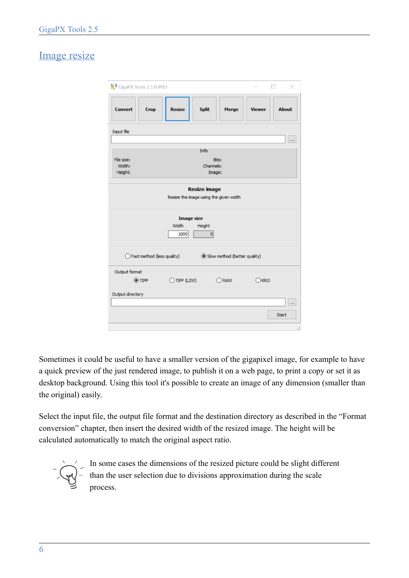# Image resize

| <sup>2</sup> GigaPX Tools 2.5.0 PRO                                                                                             |               |              |              |               | $\times$     |
|---------------------------------------------------------------------------------------------------------------------------------|---------------|--------------|--------------|---------------|--------------|
| <b>Convert</b><br><b>Crop</b>                                                                                                   | <b>Resize</b> | <b>Split</b> | <b>Merge</b> | <b>Viewer</b> | <b>About</b> |
| Input file                                                                                                                      |               |              |              |               |              |
|                                                                                                                                 |               | Info         |              |               |              |
| File size:                                                                                                                      |               | Bits:        |              |               |              |
| Width:                                                                                                                          |               | Channels:    |              |               |              |
| Height:                                                                                                                         |               | Image:       |              |               |              |
| <b>Resize image</b><br>Resize the image using the given width<br><b>Image size</b><br>Width<br>Height<br>$\overline{0}$<br>1000 |               |              |              |               |              |
| $\bigcirc$ Fast method (less quality)<br>Slow method (better quality)                                                           |               |              |              |               |              |
| Output format                                                                                                                   |               |              |              |               |              |
| O TIFF                                                                                                                          | O TIFF (LZW)  |              | ORAW         | KRO           |              |
| Output directory                                                                                                                |               |              |              |               |              |
|                                                                                                                                 |               |              |              |               |              |
|                                                                                                                                 |               |              |              |               | <b>Start</b> |
|                                                                                                                                 |               |              |              |               |              |

Sometimes it could be useful to have a smaller version of the gigapixel image, for example to have a quick preview of the just rendered image, to publish it on a web page, to print a copy or set it as desktop background. Using this tool it's possible to create an image of any dimension (smaller than the original) easily.

Select the input file, the output file format and the destination directory as described in the "Format conversion" chapter, then insert the desired width of the resized image. The height will be calculated automatically to match the original aspect ratio.



In some cases the dimensions of the resized picture could be slight different than the user selection due to divisions approximation during the scale process.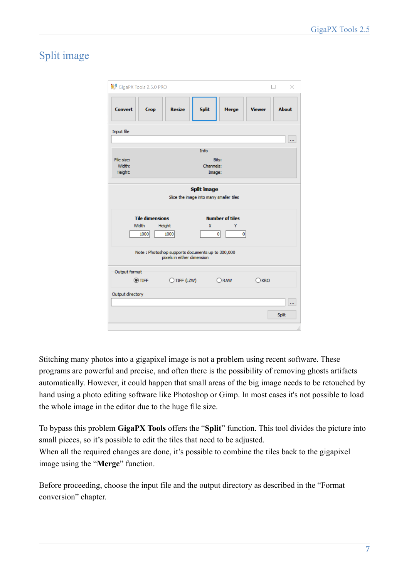# Split image

| <sup>14</sup> GigaPX Tools 2.5.0 PRO<br>× |                                                                                |                        |               |              |  |
|-------------------------------------------|--------------------------------------------------------------------------------|------------------------|---------------|--------------|--|
| <b>Convert</b><br><b>Crop</b>             | <b>Resize</b><br><b>Split</b>                                                  | Merge                  | <b>Viewer</b> | <b>About</b> |  |
| Input file                                |                                                                                |                        |               |              |  |
|                                           |                                                                                |                        |               |              |  |
|                                           | <b>Info</b>                                                                    |                        |               |              |  |
| File size:                                |                                                                                | Bits:                  |               |              |  |
| Width:                                    |                                                                                | Channels:              |               |              |  |
| Height:                                   |                                                                                | Image:                 |               |              |  |
|                                           | <b>Split image</b><br>Slice the image into many smaller tiles                  |                        |               |              |  |
| <b>Tile dimensions</b>                    |                                                                                | <b>Number of tiles</b> |               |              |  |
| Width                                     | Height                                                                         | X<br>Y                 |               |              |  |
| 1000                                      | 1000                                                                           | $\mathbf{0}$           | 0             |              |  |
|                                           | Note: Photoshop supports documents up to 300,000<br>pixels in either dimension |                        |               |              |  |
| Output format                             |                                                                                |                        |               |              |  |
| $\odot$ TIFF                              | $\bigcirc$ TIFF (LZW)                                                          | ORAW                   | KRO           |              |  |
| Output directory                          |                                                                                |                        |               |              |  |
|                                           |                                                                                |                        |               | <b>Split</b> |  |
|                                           |                                                                                |                        |               | $\cdot$      |  |

Stitching many photos into a gigapixel image is not a problem using recent software. These programs are powerful and precise, and often there is the possibility of removing ghosts artifacts automatically. However, it could happen that small areas of the big image needs to be retouched by hand using a photo editing software like Photoshop or Gimp. In most cases it's not possible to load the whole image in the editor due to the huge file size.

To bypass this problem **GigaPX Tools** offers the "**Split**" function. This tool divides the picture into small pieces, so it's possible to edit the tiles that need to be adjusted.

When all the required changes are done, it's possible to combine the tiles back to the gigapixel image using the "**Merge**" function.

Before proceeding, choose the input file and the output directory as described in the "Format conversion" chapter.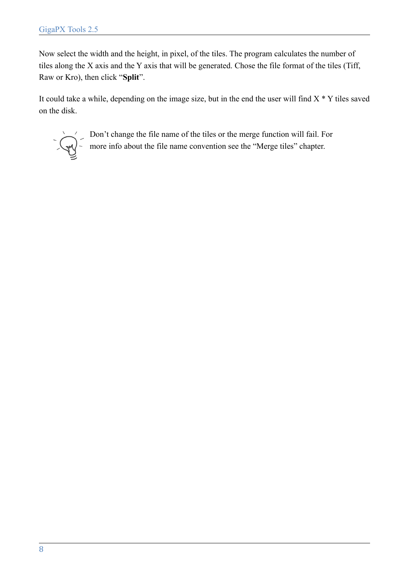Now select the width and the height, in pixel, of the tiles. The program calculates the number of tiles along the X axis and the Y axis that will be generated. Chose the file format of the tiles (Tiff, Raw or Kro), then click "**Split**".

It could take a while, depending on the image size, but in the end the user will find  $X * Y$  tiles saved on the disk.



Don't change the file name of the tiles or the merge function will fail. For more info about the file name convention see the "Merge tiles" chapter.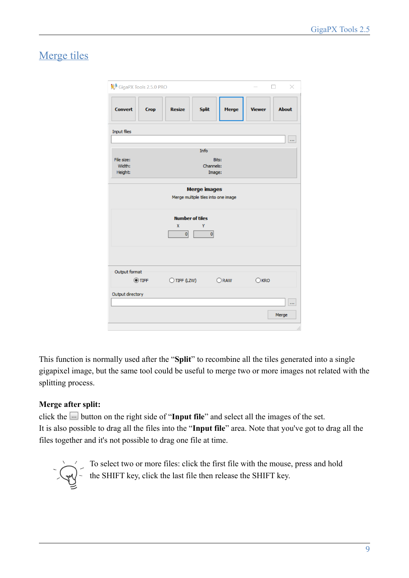# Merge tiles

| <sup>2</sup> GigaPX Tools 2.5.0 PRO           |                                                            |                              |               | $\times$     |  |
|-----------------------------------------------|------------------------------------------------------------|------------------------------|---------------|--------------|--|
| <b>Convert</b><br><b>Crop</b>                 | <b>Split</b><br><b>Resize</b>                              | <b>Merge</b>                 | <b>Viewer</b> | <b>About</b> |  |
| <b>Input files</b>                            |                                                            |                              |               | ш            |  |
|                                               | Info                                                       |                              |               |              |  |
| File size:<br>Width:<br>Height:               |                                                            | Bits:<br>Channels:<br>Image: |               |              |  |
|                                               | <b>Merge images</b><br>Merge multiple tiles into one image |                              |               |              |  |
| <b>Number of tiles</b><br>X<br>Y<br> 0 <br> 0 |                                                            |                              |               |              |  |
|                                               |                                                            |                              |               |              |  |
| Output format<br>O TIFF                       | O TIFF (LZW)                                               | ORAW                         | KRO           |              |  |
| Output directory                              |                                                            |                              |               |              |  |
|                                               |                                                            |                              |               | Merge        |  |

This function is normally used after the "**Split**" to recombine all the tiles generated into a single gigapixel image, but the same tool could be useful to merge two or more images not related with the splitting process.

#### **Merge after split:**

click the button on the right side of "**Input file**" and select all the images of the set. It is also possible to drag all the files into the "**Input file**" area. Note that you've got to drag all the files together and it's not possible to drag one file at time.



To select two or more files: click the first file with the mouse, press and hold the SHIFT key, click the last file then release the SHIFT key.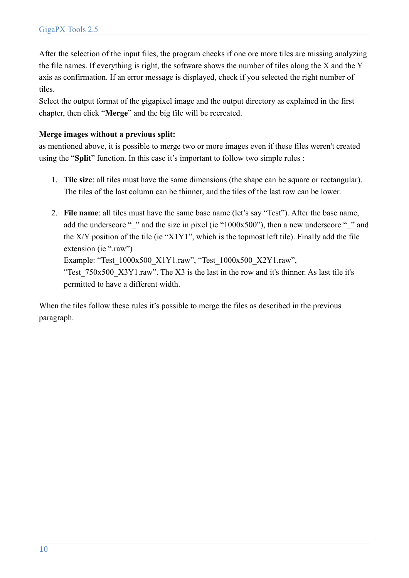After the selection of the input files, the program checks if one ore more tiles are missing analyzing the file names. If everything is right, the software shows the number of tiles along the X and the Y axis as confirmation. If an error message is displayed, check if you selected the right number of tiles.

Select the output format of the gigapixel image and the output directory as explained in the first chapter, then click "**Merge**" and the big file will be recreated.

#### **Merge images without a previous split:**

as mentioned above, it is possible to merge two or more images even if these files weren't created using the "**Split**" function. In this case it's important to follow two simple rules :

- 1. **Tile size**: all tiles must have the same dimensions (the shape can be square or rectangular). The tiles of the last column can be thinner, and the tiles of the last row can be lower.
- 2. **File name**: all tiles must have the same base name (let's say "Test"). After the base name, add the underscore " $\degree$ " and the size in pixel (ie "1000x500"), then a new underscore " $\degree$ " and the  $X/Y$  position of the tile (ie " $X1Y1$ ", which is the topmost left tile). Finally add the file extension (ie ".raw") Example: "Test\_1000x500\_X1Y1.raw", "Test\_1000x500\_X2Y1.raw", "Test 750x500 X3Y1.raw". The X3 is the last in the row and it's thinner. As last tile it's permitted to have a different width.

When the tiles follow these rules it's possible to merge the files as described in the previous paragraph.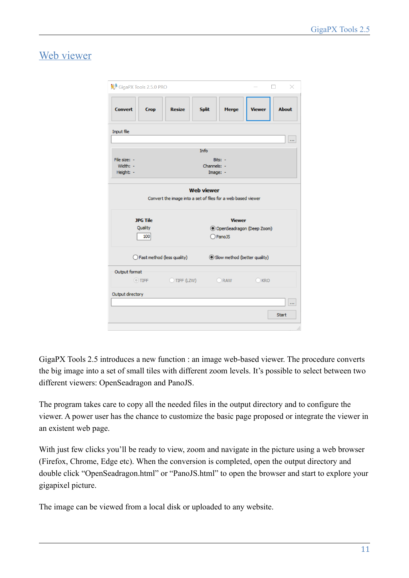### Web viewer

| <sup>1</sup> GigaPX Tools 2.5.0 PRO |                                                              |                              |               | ×            |
|-------------------------------------|--------------------------------------------------------------|------------------------------|---------------|--------------|
| <b>Convert</b><br><b>Crop</b>       | <b>Resize</b>                                                | <b>Split</b><br><b>Merge</b> | <b>Viewer</b> | <b>About</b> |
| Input file                          |                                                              |                              |               |              |
|                                     |                                                              |                              |               |              |
|                                     | Info                                                         |                              |               |              |
| File size: -                        |                                                              | Bits: -                      |               |              |
| Width: -                            |                                                              | Channels: -                  |               |              |
| Height: -                           |                                                              | Image: -                     |               |              |
|                                     | Convert the image into a set of files for a web based viewer | <b>Web viewer</b>            |               |              |
| <b>JPG Tile</b>                     |                                                              | <b>Viewer</b>                |               |              |
| Quality                             |                                                              | O OpenSeadragon (Deep Zoom)  |               |              |
| 100                                 |                                                              | PanoJS                       |               |              |
| ◯ Fast method (less quality)        |                                                              | Slow method (better quality) |               |              |
| Output format                       |                                                              |                              |               |              |
| $\odot$ TIFF                        | TIFF (LZW)                                                   | RAW                          | <b>KRO</b>    |              |
| Output directory                    |                                                              |                              |               | m.           |
|                                     |                                                              |                              |               |              |
|                                     |                                                              |                              |               |              |
|                                     |                                                              |                              |               | <b>Start</b> |

GigaPX Tools 2.5 introduces a new function : an image web-based viewer. The procedure converts the big image into a set of small tiles with different zoom levels. It's possible to select between two different viewers: OpenSeadragon and PanoJS.

The program takes care to copy all the needed files in the output directory and to configure the viewer. A power user has the chance to customize the basic page proposed or integrate the viewer in an existent web page.

With just few clicks you'll be ready to view, zoom and navigate in the picture using a web browser (Firefox, Chrome, Edge etc). When the conversion is completed, open the output directory and double click "OpenSeadragon.html" or "PanoJS.html" to open the browser and start to explore your gigapixel picture.

The image can be viewed from a local disk or uploaded to any website.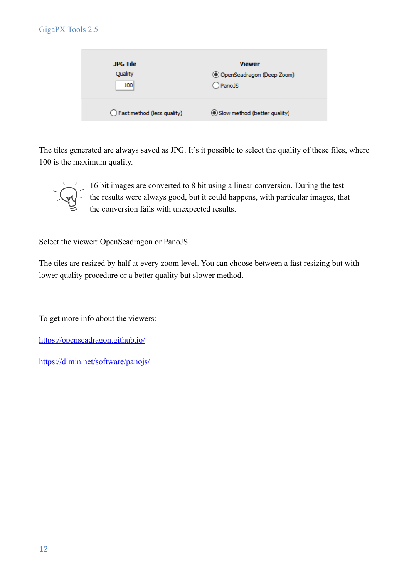| <b>JPG Tile</b>              | <b>Viewer</b>                |
|------------------------------|------------------------------|
| Quality                      | O OpenSeadragon (Deep Zoom)  |
| 100                          | PanoJS                       |
| ◯ Fast method (less quality) | Slow method (better quality) |

The tiles generated are always saved as JPG. It's it possible to select the quality of these files, where 100 is the maximum quality.



16 bit images are converted to 8 bit using a linear conversion. During the test the results were always good, but it could happens, with particular images, that the conversion fails with unexpected results.

Select the viewer: OpenSeadragon or PanoJS.

The tiles are resized by half at every zoom level. You can choose between a fast resizing but with lower quality procedure or a better quality but slower method.

To get more info about the viewers:

<https://openseadragon.github.io/>

<https://dimin.net/software/panojs/>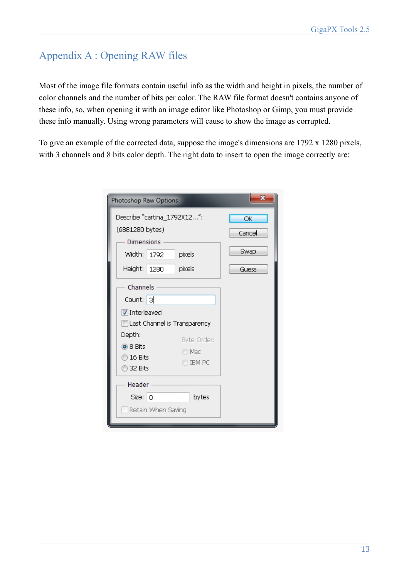# Appendix A : Opening RAW files

Most of the image file formats contain useful info as the width and height in pixels, the number of color channels and the number of bits per color. The RAW file format doesn't contains anyone of these info, so, when opening it with an image editor like Photoshop or Gimp, you must provide these info manually. Using wrong parameters will cause to show the image as corrupted.

To give an example of the corrected data, suppose the image's dimensions are 1792 x 1280 pixels, with 3 channels and 8 bits color depth. The right data to insert to open the image correctly are:

| Photoshop Raw Options                                                                       | $\overline{\mathbf{x}}$ |
|---------------------------------------------------------------------------------------------|-------------------------|
| Describe "cartina_1792X12":<br>(6881280 bytes)                                              | OK<br>Cancel            |
| <b>Dimensions</b><br>Width: 1792<br>pixels                                                  | Swap                    |
| Height: 1280<br>pixels<br>Channels                                                          | Guess                   |
| Count: 3<br>Interleaved<br>Last Channel is Transparency                                     |                         |
| Depth:<br>Byte Order:<br>◉ 8 Bits<br>O Mac<br>$\odot$ 16 Bits<br><b>IBM PC</b><br>◎ 32 Bits |                         |
| Header<br>bytes<br>Size: 0<br>Retain When Saving                                            |                         |